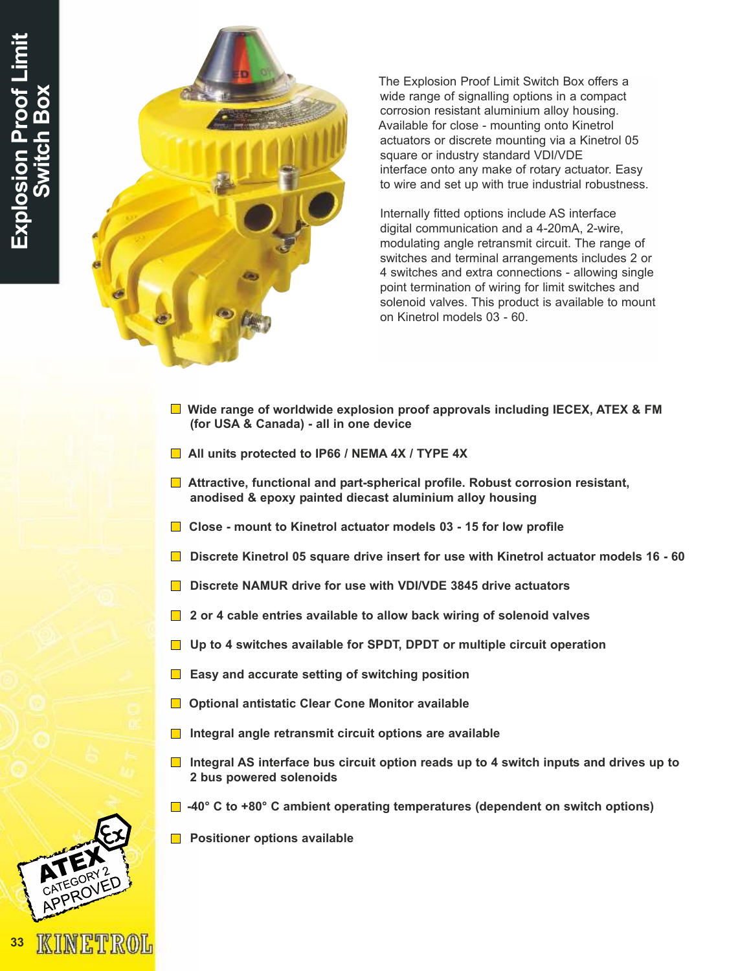

The Explosion Proof Limit Switch Box offers a wide range of signalling options in a compact corrosion resistant aluminium alloy housing. Available for close - mounting onto Kinetrol actuators or discrete mounting via a Kinetrol 05 square or industry standard VDI/VDE interface onto any make of rotary actuator. Easy to wire and set up with true industrial robustness.

Internally fitted options include AS interface digital communication and a 4-20mA, 2-wire, modulating angle retransmit circuit. The range of switches and terminal arrangements includes 2 or 4 switches and extra connections - allowing single point termination of wiring for limit switches and solenoid valves. This product is available to mount on Kinetrol models 03 - 60.

- $\Box$  Wide range of worldwide explosion proof approvals including IECEX, ATEX & FM (for USA & Canada) - all in one device
- All units protected to IP66 / NEMA 4X / TYPE 4X
- **■** Attractive, functional and part-spherical profile. Robust corrosion resistant, anodised & epoxy painted diecast aluminium alloy housing
- $\Box$  Close mount to Kinetrol actuator models 03 15 for low profile
- **Discrete Kinetrol 05 square drive insert for use with Kinetrol actuator models 16 60**
- Discrete NAMUR drive for use with VDI/VDE 3845 drive actuators
- $\Box$  2 or 4 cable entries available to allow back wiring of solenoid valves
- □ Up to 4 switches available for SPDT, DPDT or multiple circuit operation
- $\blacksquare$  Easy and accurate setting of switching position
- **□** Optional antistatic Clear Cone Monitor available
- $\Box$  Integral angle retransmit circuit options are available
- Integral AS interface bus circuit option reads up to 4 switch inputs and drives up to 2 bus powered solenoids
- -40° C to +80° C ambient operating temperatures (dependent on switch options)
- **Positioner options available**